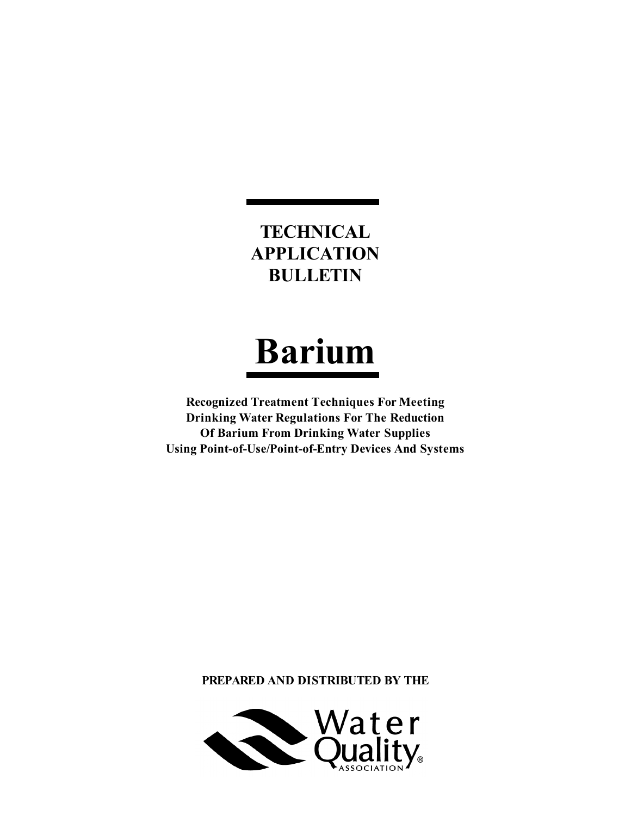# **TECHNICAL APPLICATION BULLETIN**

# **Barium**

**Recognized Treatment Techniques For Meeting Drinking Water Regulations For The Reduction Of Barium From Drinking Water Supplies Using Point-of-Use/Point-of-Entry Devices And Systems**

**PREPARED AND DISTRIBUTED BY THE**

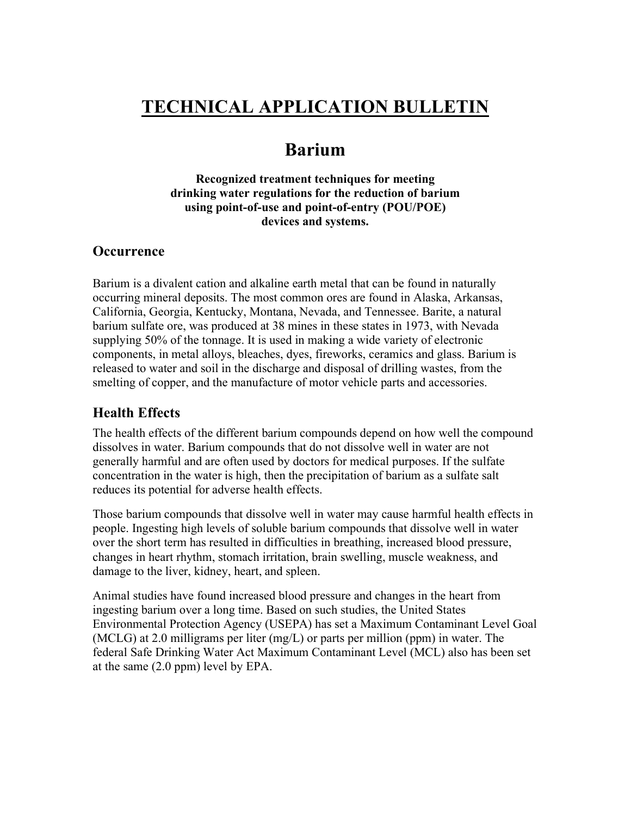## **TECHNICAL APPLICATION BULLETIN**

## **Barium**

**Recognized treatment techniques for meeting drinking water regulations for the reduction of barium using point-of-use and point-of-entry (POU/POE) devices and systems.**

#### **Occurrence**

Barium is a divalent cation and alkaline earth metal that can be found in naturally occurring mineral deposits. The most common ores are found in Alaska, Arkansas, California, Georgia, Kentucky, Montana, Nevada, and Tennessee. Barite, a natural barium sulfate ore, was produced at 38 mines in these states in 1973, with Nevada supplying 50% of the tonnage. It is used in making a wide variety of electronic components, in metal alloys, bleaches, dyes, fireworks, ceramics and glass. Barium is released to water and soil in the discharge and disposal of drilling wastes, from the smelting of copper, and the manufacture of motor vehicle parts and accessories.

## **Health Effects**

The health effects of the different barium compounds depend on how well the compound dissolves in water. Barium compounds that do not dissolve well in water are not generally harmful and are often used by doctors for medical purposes. If the sulfate concentration in the water is high, then the precipitation of barium as a sulfate salt reduces its potential for adverse health effects.

Those barium compounds that dissolve well in water may cause harmful health effects in people. Ingesting high levels of soluble barium compounds that dissolve well in water over the short term has resulted in difficulties in breathing, increased blood pressure, changes in heart rhythm, stomach irritation, brain swelling, muscle weakness, and damage to the liver, kidney, heart, and spleen.

Animal studies have found increased blood pressure and changes in the heart from ingesting barium over a long time. Based on such studies, the United States Environmental Protection Agency (USEPA) has set a Maximum Contaminant Level Goal (MCLG) at 2.0 milligrams per liter (mg/L) or parts per million (ppm) in water. The federal Safe Drinking Water Act Maximum Contaminant Level (MCL) also has been set at the same (2.0 ppm) level by EPA.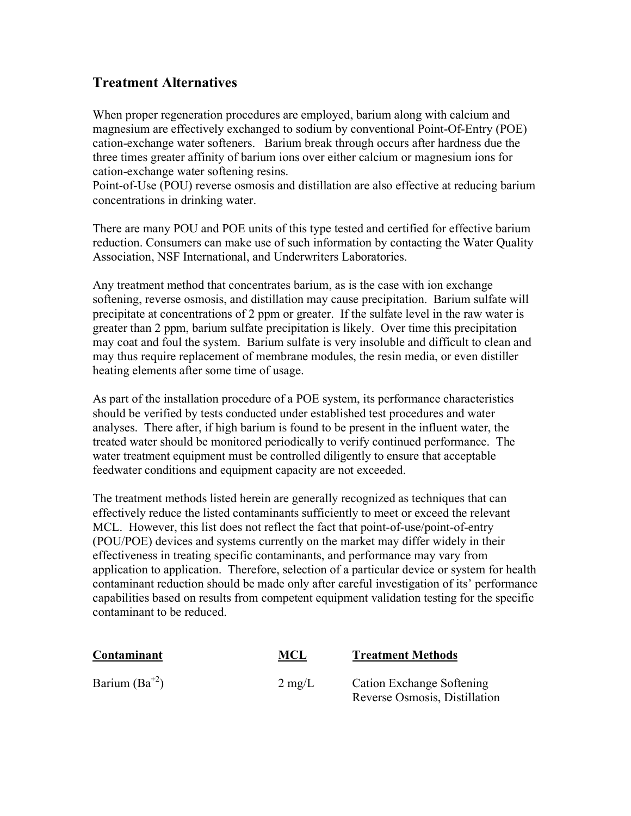### **Treatment Alternatives**

When proper regeneration procedures are employed, barium along with calcium and magnesium are effectively exchanged to sodium by conventional Point-Of-Entry (POE) cation-exchange water softeners. Barium break through occurs after hardness due the three times greater affinity of barium ions over either calcium or magnesium ions for cation-exchange water softening resins.

Point-of-Use (POU) reverse osmosis and distillation are also effective at reducing barium concentrations in drinking water.

There are many POU and POE units of this type tested and certified for effective barium reduction. Consumers can make use of such information by contacting the Water Quality Association, NSF International, and Underwriters Laboratories.

Any treatment method that concentrates barium, as is the case with ion exchange softening, reverse osmosis, and distillation may cause precipitation. Barium sulfate will precipitate at concentrations of 2 ppm or greater. If the sulfate level in the raw water is greater than 2 ppm, barium sulfate precipitation is likely. Over time this precipitation may coat and foul the system. Barium sulfate is very insoluble and difficult to clean and may thus require replacement of membrane modules, the resin media, or even distiller heating elements after some time of usage.

As part of the installation procedure of a POE system, its performance characteristics should be verified by tests conducted under established test procedures and water analyses. There after, if high barium is found to be present in the influent water, the treated water should be monitored periodically to verify continued performance. The water treatment equipment must be controlled diligently to ensure that acceptable feedwater conditions and equipment capacity are not exceeded.

The treatment methods listed herein are generally recognized as techniques that can effectively reduce the listed contaminants sufficiently to meet or exceed the relevant MCL. However, this list does not reflect the fact that point-of-use/point-of-entry (POU/POE) devices and systems currently on the market may differ widely in their effectiveness in treating specific contaminants, and performance may vary from application to application. Therefore, selection of a particular device or system for health contaminant reduction should be made only after careful investigation of its' performance capabilities based on results from competent equipment validation testing for the specific contaminant to be reduced.

| Contaminant        | <b>MCL</b>       | <b>Treatment Methods</b>                                   |
|--------------------|------------------|------------------------------------------------------------|
| Barium $(Ba^{+2})$ | $2 \text{ mg/L}$ | Cation Exchange Softening<br>Reverse Osmosis, Distillation |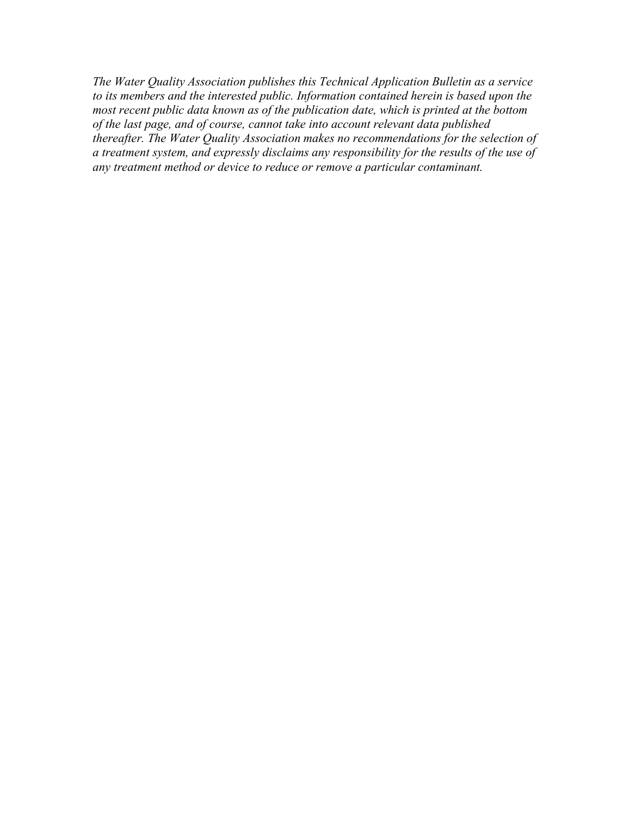*The Water Quality Association publishes this Technical Application Bulletin as a service to its members and the interested public. Information contained herein is based upon the most recent public data known as of the publication date, which is printed at the bottom of the last page, and of course, cannot take into account relevant data published thereafter. The Water Quality Association makes no recommendations for the selection of a treatment system, and expressly disclaims any responsibility for the results of the use of any treatment method or device to reduce or remove a particular contaminant.*